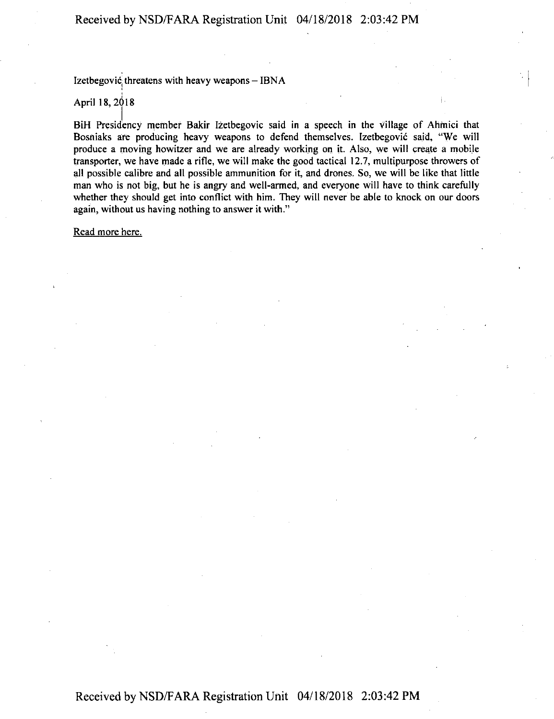Izetbegović threatens with heavy weapons - IBNA

## April 18, 2018

 $\vert$ BiH Presidency member Bakir Izetbegovic said in a speech in the village of Ahinici that Bosniaks are producing heavy weapons to defend themselves. Izetbegovic said, "We will produce a moving howitzer and we are already working on it. Also, we will create a mobile transporter, we have made a rifle, we will make the good tactical 12.7, multipurpose throwers of all possible calibre and all possible ammunition for it, and drones. So, we will be like that little man who is not big, but he is angry and well-armed, and everyone will have to think carefully whether they should get into conflict with him. They will never be able to knock on our doors again, without us having nothing to answer it with."

Read more here.

## Received by NSD/FARA Registration Unit 04/18/2018 2:03:42 PM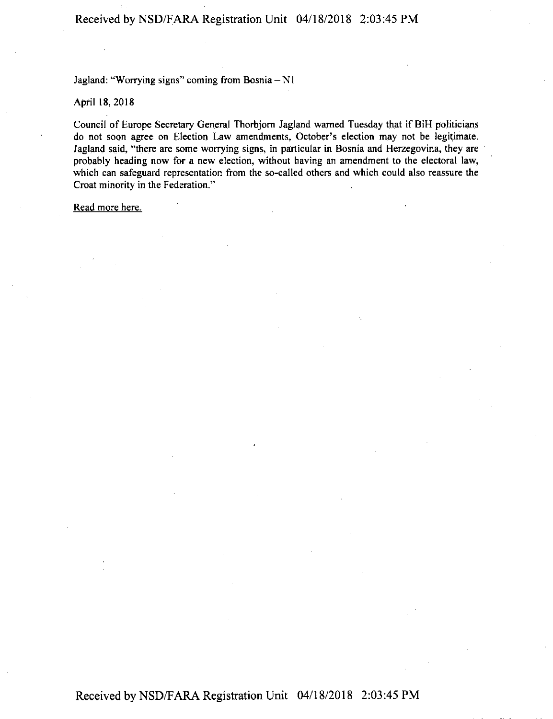Jagland: "Worrying signs" coming from Bosnia- NI

April 18, 2018

Council of Europe Secretary General Thorbjom Jagland warned Tuesday that if BiH politicians do not soon agree on Election Law amendments, October's election may not be legitimate. Jagland said, "there are some worrying signs, in particular in Bosnia and Herzegovina, they are probably heading now for a new election, without having an amendment to the electoral law, which can safeguard representation from the so-called others and which could also reassure the Croat minority in the Federation."

Read more here.

Received by NSD/F ARA Registration Unit 04/18/2018 2:03 :45 PM